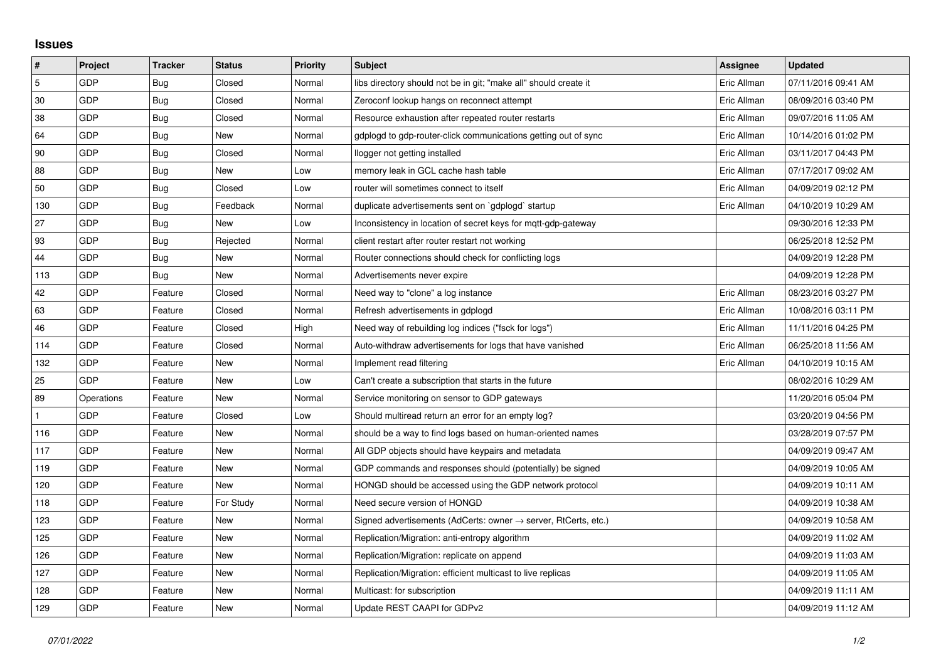## **Issues**

| #   | Project    | <b>Tracker</b> | <b>Status</b> | <b>Priority</b> | Subject                                                                    | <b>Assignee</b> | <b>Updated</b>      |
|-----|------------|----------------|---------------|-----------------|----------------------------------------------------------------------------|-----------------|---------------------|
| 5   | GDP        | Bug            | Closed        | Normal          | libs directory should not be in git; "make all" should create it           | Eric Allman     | 07/11/2016 09:41 AM |
| 30  | GDP        | <b>Bug</b>     | Closed        | Normal          | Zeroconf lookup hangs on reconnect attempt                                 | Eric Allman     | 08/09/2016 03:40 PM |
| 38  | GDP        | Bug            | Closed        | Normal          | Resource exhaustion after repeated router restarts                         | Eric Allman     | 09/07/2016 11:05 AM |
| 64  | GDP        | Bug            | New           | Normal          | gdplogd to gdp-router-click communications getting out of sync             | Eric Allman     | 10/14/2016 01:02 PM |
| 90  | GDP        | Bug            | Closed        | Normal          | llogger not getting installed                                              | Eric Allman     | 03/11/2017 04:43 PM |
| 88  | GDP        | Bug            | <b>New</b>    | Low             | memory leak in GCL cache hash table                                        | Eric Allman     | 07/17/2017 09:02 AM |
| 50  | GDP        | Bug            | Closed        | Low             | router will sometimes connect to itself                                    | Eric Allman     | 04/09/2019 02:12 PM |
| 130 | GDP        | Bug            | Feedback      | Normal          | duplicate advertisements sent on `gdplogd` startup                         | Eric Allman     | 04/10/2019 10:29 AM |
| 27  | GDP        | <b>Bug</b>     | <b>New</b>    | Low             | Inconsistency in location of secret keys for mgtt-gdp-gateway              |                 | 09/30/2016 12:33 PM |
| 93  | GDP        | Bug            | Rejected      | Normal          | client restart after router restart not working                            |                 | 06/25/2018 12:52 PM |
| 44  | GDP        | Bug            | New           | Normal          | Router connections should check for conflicting logs                       |                 | 04/09/2019 12:28 PM |
| 113 | GDP        | Bug            | New           | Normal          | Advertisements never expire                                                |                 | 04/09/2019 12:28 PM |
| 42  | GDP        | Feature        | Closed        | Normal          | Need way to "clone" a log instance                                         | Eric Allman     | 08/23/2016 03:27 PM |
| 63  | GDP        | Feature        | Closed        | Normal          | Refresh advertisements in gdplogd                                          | Eric Allman     | 10/08/2016 03:11 PM |
| 46  | GDP        | Feature        | Closed        | High            | Need way of rebuilding log indices ("fsck for logs")                       | Eric Allman     | 11/11/2016 04:25 PM |
| 114 | GDP        | Feature        | Closed        | Normal          | Auto-withdraw advertisements for logs that have vanished                   | Eric Allman     | 06/25/2018 11:56 AM |
| 132 | GDP        | Feature        | New           | Normal          | Implement read filtering                                                   | Eric Allman     | 04/10/2019 10:15 AM |
| 25  | GDP        | Feature        | <b>New</b>    | Low             | Can't create a subscription that starts in the future                      |                 | 08/02/2016 10:29 AM |
| 89  | Operations | Feature        | New           | Normal          | Service monitoring on sensor to GDP gateways                               |                 | 11/20/2016 05:04 PM |
|     | GDP        | Feature        | Closed        | Low             | Should multiread return an error for an empty log?                         |                 | 03/20/2019 04:56 PM |
| 116 | GDP        | Feature        | New           | Normal          | should be a way to find logs based on human-oriented names                 |                 | 03/28/2019 07:57 PM |
| 117 | GDP        | Feature        | New           | Normal          | All GDP objects should have keypairs and metadata                          |                 | 04/09/2019 09:47 AM |
| 119 | GDP        | Feature        | New           | Normal          | GDP commands and responses should (potentially) be signed                  |                 | 04/09/2019 10:05 AM |
| 120 | GDP        | Feature        | <b>New</b>    | Normal          | HONGD should be accessed using the GDP network protocol                    |                 | 04/09/2019 10:11 AM |
| 118 | GDP        | Feature        | For Study     | Normal          | Need secure version of HONGD                                               |                 | 04/09/2019 10:38 AM |
| 123 | GDP        | Feature        | New           | Normal          | Signed advertisements (AdCerts: owner $\rightarrow$ server, RtCerts, etc.) |                 | 04/09/2019 10:58 AM |
| 125 | GDP        | Feature        | <b>New</b>    | Normal          | Replication/Migration: anti-entropy algorithm                              |                 | 04/09/2019 11:02 AM |
| 126 | GDP        | Feature        | New           | Normal          | Replication/Migration: replicate on append                                 |                 | 04/09/2019 11:03 AM |
| 127 | GDP        | Feature        | <b>New</b>    | Normal          | Replication/Migration: efficient multicast to live replicas                |                 | 04/09/2019 11:05 AM |
| 128 | GDP        | Feature        | New           | Normal          | Multicast: for subscription                                                |                 | 04/09/2019 11:11 AM |
| 129 | GDP        | Feature        | New           | Normal          | Update REST CAAPI for GDPv2                                                |                 | 04/09/2019 11:12 AM |